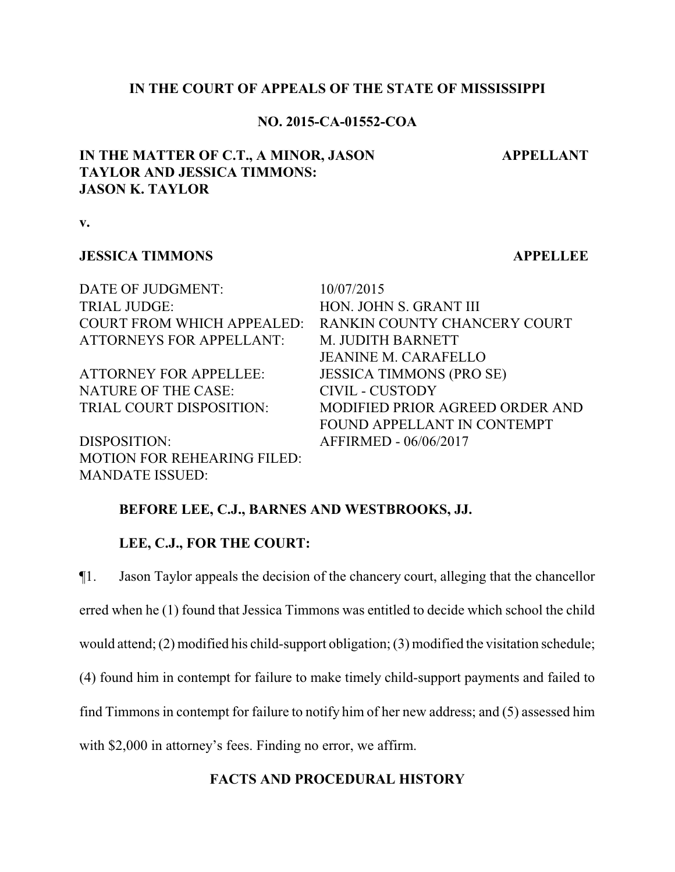### **IN THE COURT OF APPEALS OF THE STATE OF MISSISSIPPI**

### **NO. 2015-CA-01552-COA**

# **IN THE MATTER OF C.T., A MINOR, JASON TAYLOR AND JESSICA TIMMONS: JASON K. TAYLOR**

**v.**

## **JESSICA TIMMONS APPELLEE**

**APPELLANT**

DATE OF JUDGMENT:  $10/07/2015$ TRIAL JUDGE: HON. JOHN S. GRANT III COURT FROM WHICH APPEALED: RANKIN COUNTY CHANCERY COURT ATTORNEYS FOR APPELLANT: M. JUDITH BARNETT JEANINE M. CARAFELLO ATTORNEY FOR APPELLEE: JESSICA TIMMONS (PRO SE) NATURE OF THE CASE: CIVIL - CUSTODY TRIAL COURT DISPOSITION: MODIFIED PRIOR AGREED ORDER AND

DISPOSITION: AFFIRMED - 06/06/2017 MOTION FOR REHEARING FILED: MANDATE ISSUED:

FOUND APPELLANT IN CONTEMPT

## **BEFORE LEE, C.J., BARNES AND WESTBROOKS, JJ.**

### **LEE, C.J., FOR THE COURT:**

¶1. Jason Taylor appeals the decision of the chancery court, alleging that the chancellor erred when he (1) found that Jessica Timmons was entitled to decide which school the child would attend; (2) modified his child-support obligation; (3) modified the visitation schedule; (4) found him in contempt for failure to make timely child-support payments and failed to find Timmons in contempt for failure to notify him of her new address; and (5) assessed him with \$2,000 in attorney's fees. Finding no error, we affirm.

### **FACTS AND PROCEDURAL HISTORY**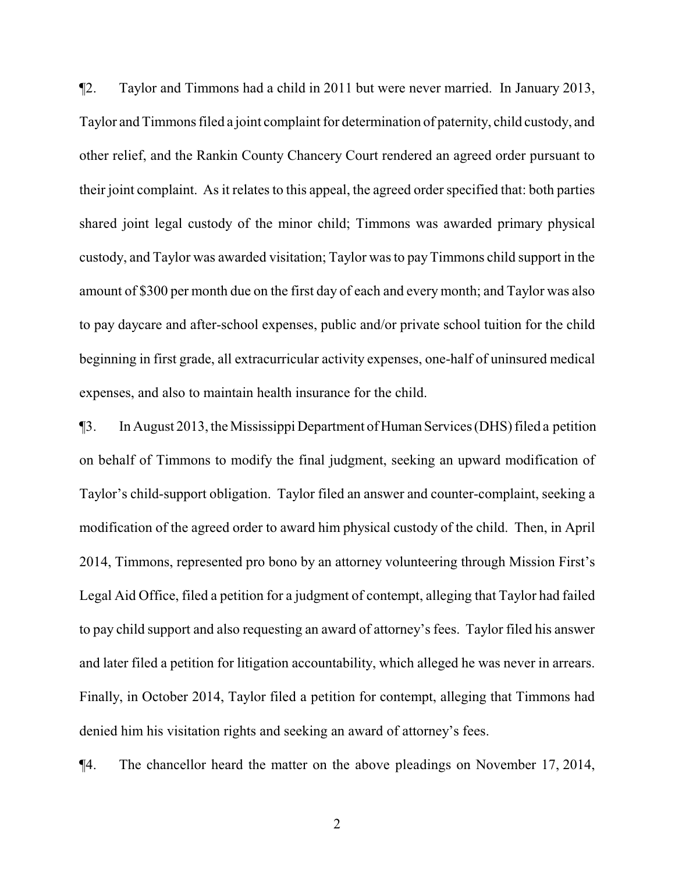¶2. Taylor and Timmons had a child in 2011 but were never married. In January 2013, Taylor and Timmons filed a joint complaint for determination of paternity, child custody, and other relief, and the Rankin County Chancery Court rendered an agreed order pursuant to their joint complaint. As it relates to this appeal, the agreed order specified that: both parties shared joint legal custody of the minor child; Timmons was awarded primary physical custody, and Taylor was awarded visitation; Taylor was to payTimmons child support in the amount of \$300 per month due on the first day of each and every month; and Taylor was also to pay daycare and after-school expenses, public and/or private school tuition for the child beginning in first grade, all extracurricular activity expenses, one-half of uninsured medical expenses, and also to maintain health insurance for the child.

¶3. In August 2013, the Mississippi Department of HumanServices (DHS) filed a petition on behalf of Timmons to modify the final judgment, seeking an upward modification of Taylor's child-support obligation. Taylor filed an answer and counter-complaint, seeking a modification of the agreed order to award him physical custody of the child. Then, in April 2014, Timmons, represented pro bono by an attorney volunteering through Mission First's Legal Aid Office, filed a petition for a judgment of contempt, alleging that Taylor had failed to pay child support and also requesting an award of attorney's fees. Taylor filed his answer and later filed a petition for litigation accountability, which alleged he was never in arrears. Finally, in October 2014, Taylor filed a petition for contempt, alleging that Timmons had denied him his visitation rights and seeking an award of attorney's fees.

¶4. The chancellor heard the matter on the above pleadings on November 17, 2014,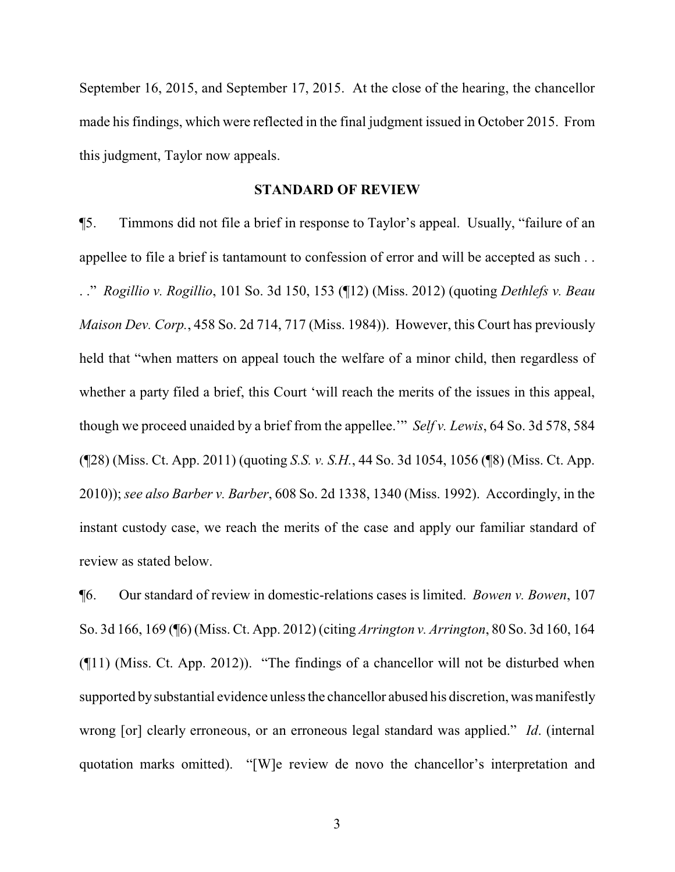September 16, 2015, and September 17, 2015. At the close of the hearing, the chancellor made his findings, which were reflected in the final judgment issued in October 2015. From this judgment, Taylor now appeals.

#### **STANDARD OF REVIEW**

¶5. Timmons did not file a brief in response to Taylor's appeal. Usually, "failure of an appellee to file a brief is tantamount to confession of error and will be accepted as such . . . ." *Rogillio v. Rogillio*, 101 So. 3d 150, 153 (¶12) (Miss. 2012) (quoting *Dethlefs v. Beau Maison Dev. Corp.*, 458 So. 2d 714, 717 (Miss. 1984)). However, this Court has previously held that "when matters on appeal touch the welfare of a minor child, then regardless of whether a party filed a brief, this Court 'will reach the merits of the issues in this appeal, though we proceed unaided by a brief from the appellee.'" *Self v. Lewis*, 64 So. 3d 578, 584 (¶28) (Miss. Ct. App. 2011) (quoting *S.S. v. S.H.*, 44 So. 3d 1054, 1056 (¶8) (Miss. Ct. App. 2010)); *see also Barber v. Barber*, 608 So. 2d 1338, 1340 (Miss. 1992). Accordingly, in the instant custody case, we reach the merits of the case and apply our familiar standard of review as stated below.

¶6. Our standard of review in domestic-relations cases is limited. *Bowen v. Bowen*, 107 So. 3d 166, 169 (¶6) (Miss. Ct. App. 2012) (citing *Arrington v. Arrington*, 80 So. 3d 160, 164 (¶11) (Miss. Ct. App. 2012)). "The findings of a chancellor will not be disturbed when supported bysubstantial evidence unless the chancellor abused his discretion, was manifestly wrong [or] clearly erroneous, or an erroneous legal standard was applied." *Id*. (internal quotation marks omitted). "[W]e review de novo the chancellor's interpretation and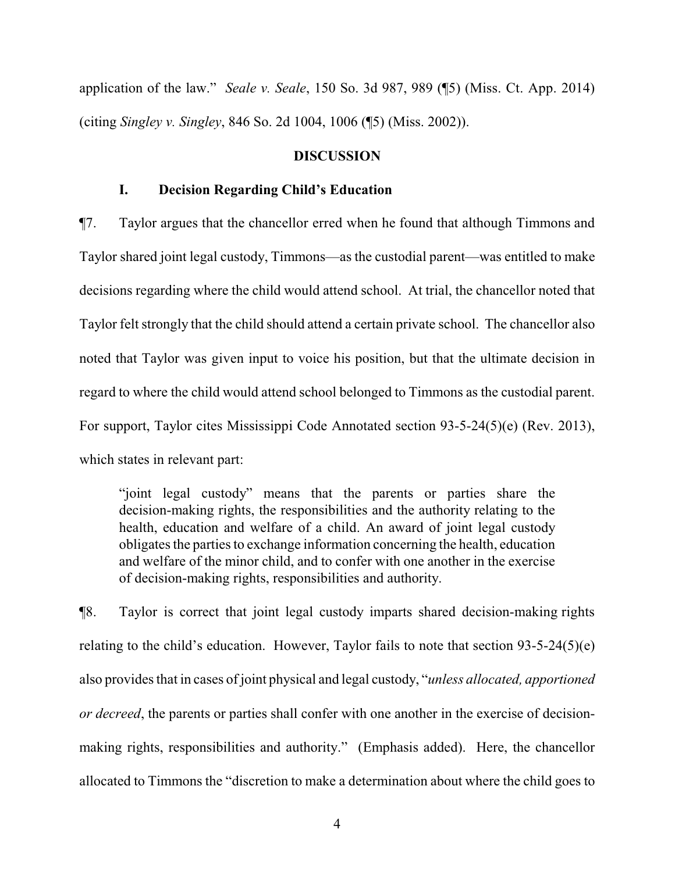application of the law." *Seale v. Seale*, 150 So. 3d 987, 989 (¶5) (Miss. Ct. App. 2014) (citing *Singley v. Singley*, 846 So. 2d 1004, 1006 (¶5) (Miss. 2002)).

#### **DISCUSSION**

## **I. Decision Regarding Child's Education**

¶7. Taylor argues that the chancellor erred when he found that although Timmons and Taylor shared joint legal custody, Timmons—as the custodial parent—was entitled to make decisions regarding where the child would attend school. At trial, the chancellor noted that Taylor felt strongly that the child should attend a certain private school. The chancellor also noted that Taylor was given input to voice his position, but that the ultimate decision in regard to where the child would attend school belonged to Timmons as the custodial parent. For support, Taylor cites Mississippi Code Annotated section 93-5-24(5)(e) (Rev. 2013), which states in relevant part:

"joint legal custody" means that the parents or parties share the decision-making rights, the responsibilities and the authority relating to the health, education and welfare of a child. An award of joint legal custody obligates the parties to exchange information concerning the health, education and welfare of the minor child, and to confer with one another in the exercise of decision-making rights, responsibilities and authority.

¶8. Taylor is correct that joint legal custody imparts shared decision-making rights relating to the child's education. However, Taylor fails to note that section  $93-5-24(5)(e)$ also provides that in cases of joint physical and legal custody, "*unless allocated, apportioned or decreed*, the parents or parties shall confer with one another in the exercise of decisionmaking rights, responsibilities and authority." (Emphasis added). Here, the chancellor allocated to Timmons the "discretion to make a determination about where the child goes to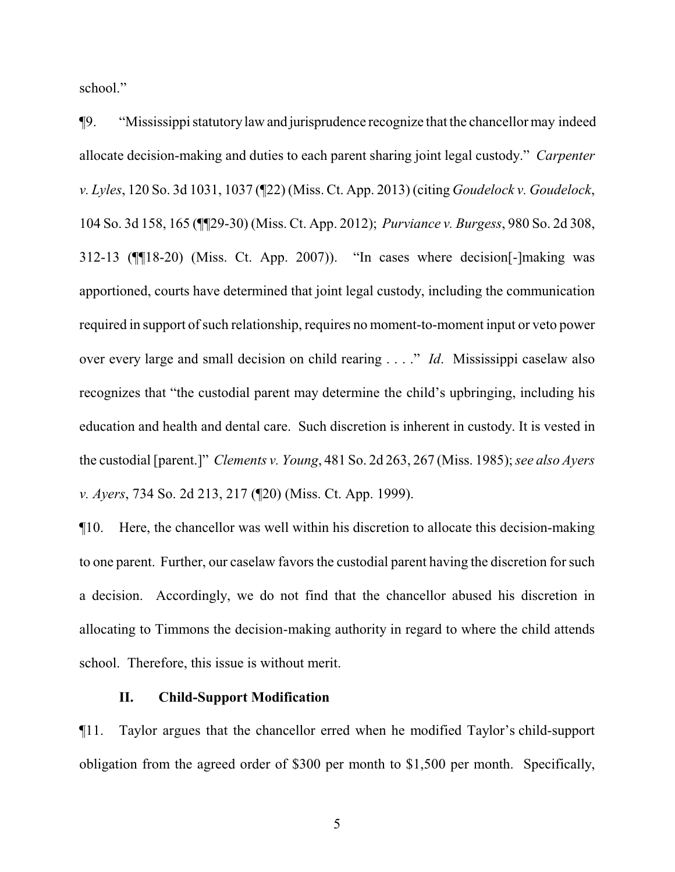school."

¶9. "Mississippi statutorylaw and jurisprudence recognize that the chancellor may indeed allocate decision-making and duties to each parent sharing joint legal custody." *Carpenter v. Lyles*, 120 So. 3d 1031, 1037 (¶22) (Miss. Ct. App. 2013) (citing *Goudelock v. Goudelock*, 104 So. 3d 158, 165 (¶¶29-30) (Miss. Ct. App. 2012); *Purviance v. Burgess*, 980 So. 2d 308, 312-13 (¶¶18-20) (Miss. Ct. App. 2007)). "In cases where decision[-]making was apportioned, courts have determined that joint legal custody, including the communication required in support of such relationship, requires no moment-to-moment input or veto power over every large and small decision on child rearing . . . ." *Id*. Mississippi caselaw also recognizes that "the custodial parent may determine the child's upbringing, including his education and health and dental care. Such discretion is inherent in custody. It is vested in the custodial [parent.]" *Clements v. Young*, 481 So. 2d 263, 267 (Miss. 1985); *see also Ayers v. Ayers*, 734 So. 2d 213, 217 (¶20) (Miss. Ct. App. 1999).

¶10. Here, the chancellor was well within his discretion to allocate this decision-making to one parent. Further, our caselaw favors the custodial parent having the discretion for such a decision. Accordingly, we do not find that the chancellor abused his discretion in allocating to Timmons the decision-making authority in regard to where the child attends school. Therefore, this issue is without merit.

## **II. Child-Support Modification**

¶11. Taylor argues that the chancellor erred when he modified Taylor's child-support obligation from the agreed order of \$300 per month to \$1,500 per month. Specifically,

5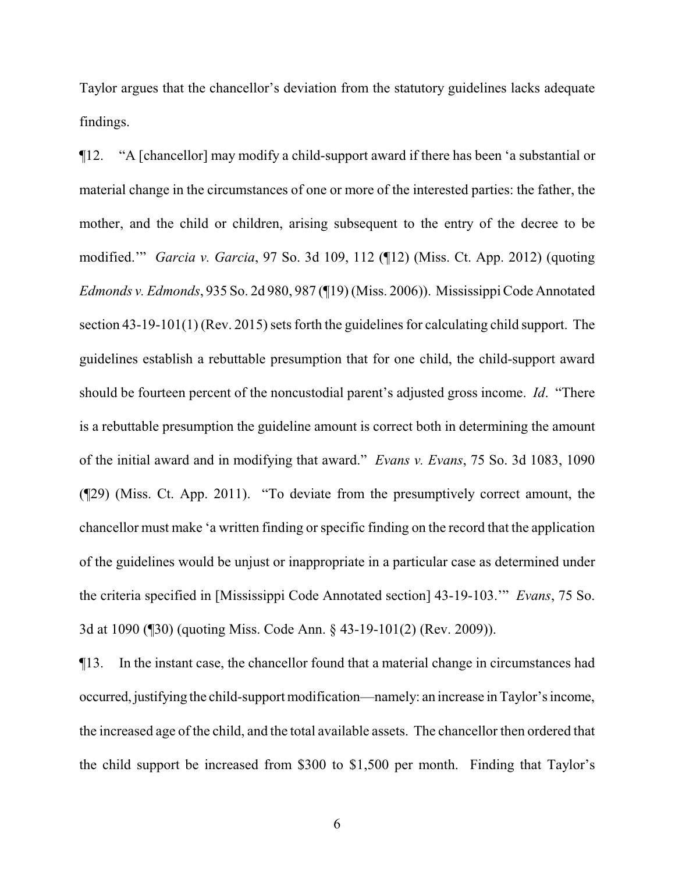Taylor argues that the chancellor's deviation from the statutory guidelines lacks adequate findings.

¶12. "A [chancellor] may modify a child-support award if there has been 'a substantial or material change in the circumstances of one or more of the interested parties: the father, the mother, and the child or children, arising subsequent to the entry of the decree to be modified.'" *Garcia v. Garcia*, 97 So. 3d 109, 112 (¶12) (Miss. Ct. App. 2012) (quoting *Edmonds v. Edmonds*, 935 So. 2d 980, 987 (¶19) (Miss. 2006)). Mississippi Code Annotated section 43-19-101(1) (Rev. 2015) sets forth the guidelines for calculating child support. The guidelines establish a rebuttable presumption that for one child, the child-support award should be fourteen percent of the noncustodial parent's adjusted gross income. *Id*. "There is a rebuttable presumption the guideline amount is correct both in determining the amount of the initial award and in modifying that award." *Evans v. Evans*, 75 So. 3d 1083, 1090 (¶29) (Miss. Ct. App. 2011). "To deviate from the presumptively correct amount, the chancellor must make 'a written finding or specific finding on the record that the application of the guidelines would be unjust or inappropriate in a particular case as determined under the criteria specified in [Mississippi Code Annotated section] 43-19-103.'" *Evans*, 75 So. 3d at 1090 (¶30) (quoting Miss. Code Ann. § 43-19-101(2) (Rev. 2009)).

¶13. In the instant case, the chancellor found that a material change in circumstances had occurred,justifying the child-support modification—namely: an increase in Taylor's income, the increased age of the child, and the total available assets. The chancellor then ordered that the child support be increased from \$300 to \$1,500 per month. Finding that Taylor's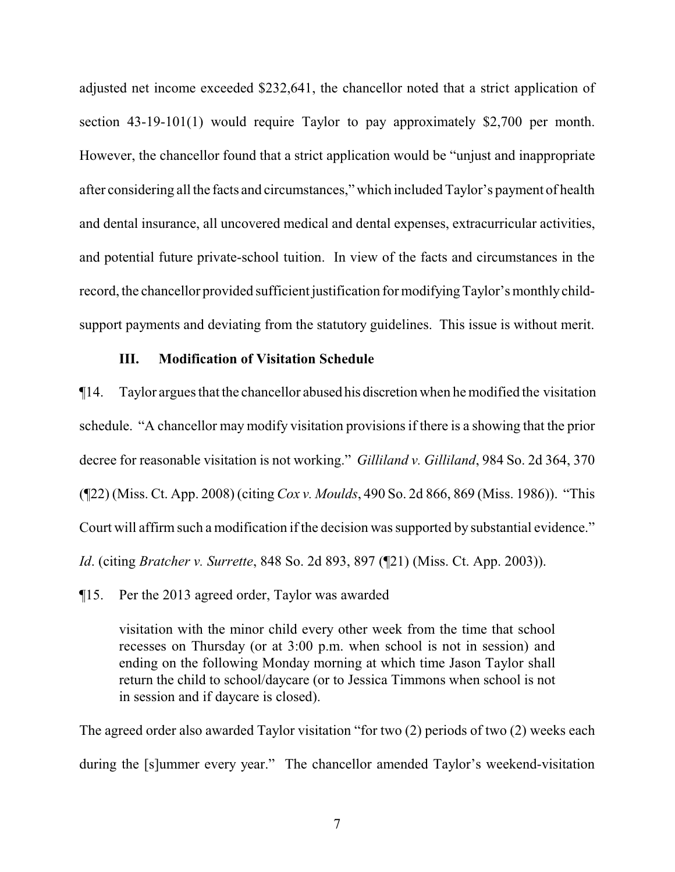adjusted net income exceeded \$232,641, the chancellor noted that a strict application of section 43-19-101(1) would require Taylor to pay approximately \$2,700 per month. However, the chancellor found that a strict application would be "unjust and inappropriate after considering all the facts and circumstances," which included Taylor's payment of health and dental insurance, all uncovered medical and dental expenses, extracurricular activities, and potential future private-school tuition. In view of the facts and circumstances in the record, the chancellor provided sufficient justification for modifying Taylor's monthlychildsupport payments and deviating from the statutory guidelines. This issue is without merit.

## **III. Modification of Visitation Schedule**

¶14. Taylor argues that the chancellor abused his discretion when he modified the visitation schedule. "A chancellor may modify visitation provisions if there is a showing that the prior decree for reasonable visitation is not working." *Gilliland v. Gilliland*, 984 So. 2d 364, 370 (¶22) (Miss. Ct. App. 2008) (citing *Cox v. Moulds*, 490 So. 2d 866, 869 (Miss. 1986)). "This Court will affirm such a modification if the decision was supported by substantial evidence." *Id*. (citing *Bratcher v. Surrette*, 848 So. 2d 893, 897 (¶21) (Miss. Ct. App. 2003)).

¶15. Per the 2013 agreed order, Taylor was awarded

visitation with the minor child every other week from the time that school recesses on Thursday (or at 3:00 p.m. when school is not in session) and ending on the following Monday morning at which time Jason Taylor shall return the child to school/daycare (or to Jessica Timmons when school is not in session and if daycare is closed).

The agreed order also awarded Taylor visitation "for two (2) periods of two (2) weeks each during the [s]ummer every year." The chancellor amended Taylor's weekend-visitation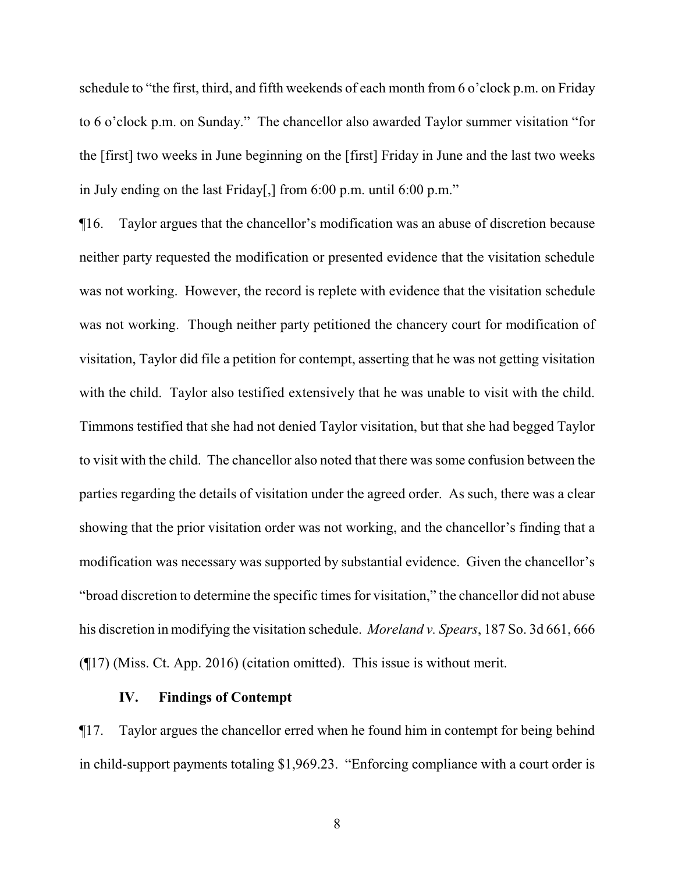schedule to "the first, third, and fifth weekends of each month from 6 o'clock p.m. on Friday to 6 o'clock p.m. on Sunday." The chancellor also awarded Taylor summer visitation "for the [first] two weeks in June beginning on the [first] Friday in June and the last two weeks in July ending on the last Friday[,] from 6:00 p.m. until 6:00 p.m."

¶16. Taylor argues that the chancellor's modification was an abuse of discretion because neither party requested the modification or presented evidence that the visitation schedule was not working. However, the record is replete with evidence that the visitation schedule was not working. Though neither party petitioned the chancery court for modification of visitation, Taylor did file a petition for contempt, asserting that he was not getting visitation with the child. Taylor also testified extensively that he was unable to visit with the child. Timmons testified that she had not denied Taylor visitation, but that she had begged Taylor to visit with the child. The chancellor also noted that there was some confusion between the parties regarding the details of visitation under the agreed order. As such, there was a clear showing that the prior visitation order was not working, and the chancellor's finding that a modification was necessary was supported by substantial evidence. Given the chancellor's "broad discretion to determine the specific times for visitation," the chancellor did not abuse his discretion in modifying the visitation schedule. *Moreland v. Spears*, 187 So. 3d 661, 666 (¶17) (Miss. Ct. App. 2016) (citation omitted). This issue is without merit.

## **IV. Findings of Contempt**

¶17. Taylor argues the chancellor erred when he found him in contempt for being behind in child-support payments totaling \$1,969.23. "Enforcing compliance with a court order is

8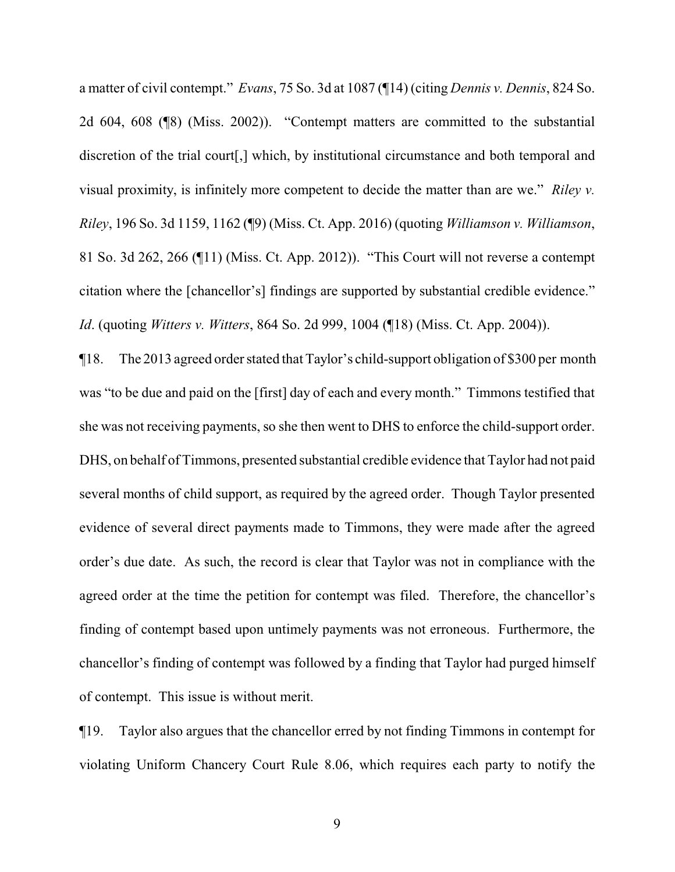a matter of civil contempt." *Evans*, 75 So. 3d at 1087 (¶14) (citing *Dennis v. Dennis*, 824 So. 2d 604, 608 (¶8) (Miss. 2002)). "Contempt matters are committed to the substantial discretion of the trial court[,] which, by institutional circumstance and both temporal and visual proximity, is infinitely more competent to decide the matter than are we." *Riley v. Riley*, 196 So. 3d 1159, 1162 (¶9) (Miss. Ct. App. 2016) (quoting *Williamson v. Williamson*, 81 So. 3d 262, 266 (¶11) (Miss. Ct. App. 2012)). "This Court will not reverse a contempt citation where the [chancellor's] findings are supported by substantial credible evidence." *Id*. (quoting *Witters v. Witters*, 864 So. 2d 999, 1004 (¶18) (Miss. Ct. App. 2004)).

¶18. The 2013 agreed order stated that Taylor's child-support obligation of \$300 per month was "to be due and paid on the [first] day of each and every month." Timmons testified that she was not receiving payments, so she then went to DHS to enforce the child-support order. DHS, on behalf of Timmons, presented substantial credible evidence that Taylor had not paid several months of child support, as required by the agreed order. Though Taylor presented evidence of several direct payments made to Timmons, they were made after the agreed order's due date. As such, the record is clear that Taylor was not in compliance with the agreed order at the time the petition for contempt was filed. Therefore, the chancellor's finding of contempt based upon untimely payments was not erroneous. Furthermore, the chancellor's finding of contempt was followed by a finding that Taylor had purged himself of contempt. This issue is without merit.

¶19. Taylor also argues that the chancellor erred by not finding Timmons in contempt for violating Uniform Chancery Court Rule 8.06, which requires each party to notify the

9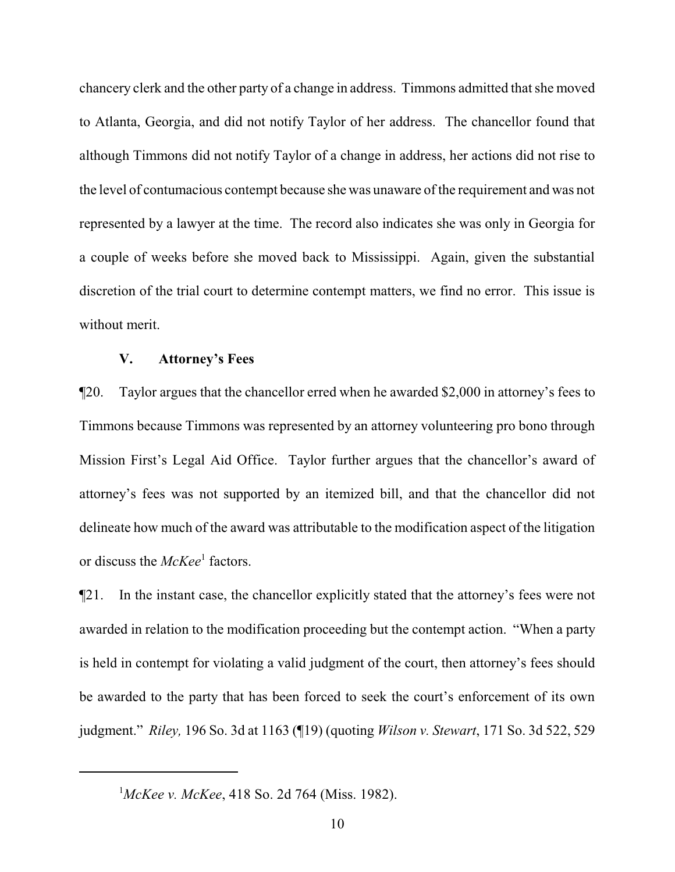chancery clerk and the other party of a change in address. Timmons admitted that she moved to Atlanta, Georgia, and did not notify Taylor of her address. The chancellor found that although Timmons did not notify Taylor of a change in address, her actions did not rise to the level of contumacious contempt because she was unaware of the requirement and was not represented by a lawyer at the time. The record also indicates she was only in Georgia for a couple of weeks before she moved back to Mississippi. Again, given the substantial discretion of the trial court to determine contempt matters, we find no error. This issue is without merit.

#### **V. Attorney's Fees**

¶20. Taylor argues that the chancellor erred when he awarded \$2,000 in attorney's fees to Timmons because Timmons was represented by an attorney volunteering pro bono through Mission First's Legal Aid Office. Taylor further argues that the chancellor's award of attorney's fees was not supported by an itemized bill, and that the chancellor did not delineate how much of the award was attributable to the modification aspect of the litigation or discuss the *McKee*<sup>1</sup> factors.

¶21. In the instant case, the chancellor explicitly stated that the attorney's fees were not awarded in relation to the modification proceeding but the contempt action. "When a party is held in contempt for violating a valid judgment of the court, then attorney's fees should be awarded to the party that has been forced to seek the court's enforcement of its own judgment." *Riley,* 196 So. 3d at 1163 (¶19) (quoting *Wilson v. Stewart*, 171 So. 3d 522, 529

<sup>1</sup>*McKee v. McKee*, 418 So. 2d 764 (Miss. 1982).